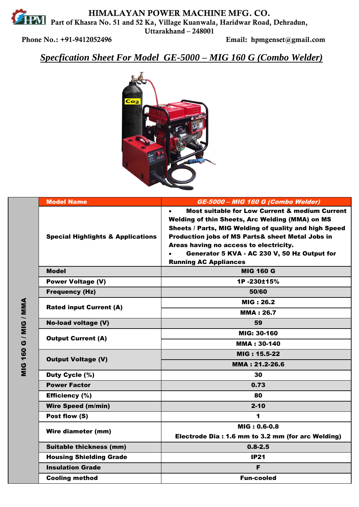**HIMALAYAN POWER MACHINE MFG. CO. PART AND PART AND HUMALA I AIN FU WER MANALIME STATE OF START PART OF PART AND PART AND PART AND ALL AND AND ALL AND AND ALL AND AND ALL AND ALL AND AND ALL AND ALL AND ALL AND ALL AND ALL AND ALL AND ALL AND ALL AND ALL Uttarakhand – 248001** 

**Phone No.: +91-9412052496 Email: hpmgenset@gmail.com**

*Specfication Sheet For Model GE-5000 – MIG 160 G (Combo Welder)*



|                                         | <b>Model Name</b>                            | GE-5000 - MIG 160 G (Combo Welder)                                                                                                                                                                                                                                                                                                                               |
|-----------------------------------------|----------------------------------------------|------------------------------------------------------------------------------------------------------------------------------------------------------------------------------------------------------------------------------------------------------------------------------------------------------------------------------------------------------------------|
|                                         | <b>Special Highlights &amp; Applications</b> | <b>Most suitable for Low Current &amp; medium Current</b><br>$\bullet$<br>Welding of thin Sheets, Arc Welding (MMA) on MS<br>Sheets / Parts, MIG Welding of quality and high Speed<br>Production jobs of MS Parts& sheet Metal Jobs in<br>Areas having no access to electricity.<br>Generator 5 KVA - AC 230 V, 50 Hz Output for<br><b>Running AC Appliances</b> |
|                                         | <b>Model</b>                                 | <b>MIG 160 G</b>                                                                                                                                                                                                                                                                                                                                                 |
|                                         | <b>Power Voltage (V)</b>                     | 1P-230±15%                                                                                                                                                                                                                                                                                                                                                       |
|                                         | <b>Frequency (Hz)</b>                        | 50/60                                                                                                                                                                                                                                                                                                                                                            |
|                                         | <b>Rated input Current (A)</b>               | <b>MIG: 26.2</b>                                                                                                                                                                                                                                                                                                                                                 |
|                                         |                                              | <b>MMA: 26.7</b>                                                                                                                                                                                                                                                                                                                                                 |
|                                         | <b>No-load voltage (V)</b>                   | 59                                                                                                                                                                                                                                                                                                                                                               |
| <b>160 G / MIG / MMA</b><br>$rac{0}{2}$ | <b>Output Current (A)</b>                    | MIG: 30-160                                                                                                                                                                                                                                                                                                                                                      |
|                                         |                                              | <b>MMA: 30-140</b>                                                                                                                                                                                                                                                                                                                                               |
|                                         | <b>Output Voltage (V)</b>                    | MIG: 15.5-22                                                                                                                                                                                                                                                                                                                                                     |
|                                         |                                              | MMA: 21.2-26.6                                                                                                                                                                                                                                                                                                                                                   |
|                                         | Duty Cycle (%)                               | 30                                                                                                                                                                                                                                                                                                                                                               |
|                                         | <b>Power Factor</b>                          | 0.73                                                                                                                                                                                                                                                                                                                                                             |
|                                         | <b>Efficiency (%)</b>                        | 80                                                                                                                                                                                                                                                                                                                                                               |
|                                         | <b>Wire Speed (m/min)</b>                    | $2 - 10$                                                                                                                                                                                                                                                                                                                                                         |
|                                         | Post flow (S)                                | 1                                                                                                                                                                                                                                                                                                                                                                |
|                                         | <b>Wire diameter (mm)</b>                    | MIG: 0.6-0.8                                                                                                                                                                                                                                                                                                                                                     |
|                                         |                                              | Electrode Dia: 1.6 mm to 3.2 mm (for arc Welding)                                                                                                                                                                                                                                                                                                                |
|                                         | <b>Suitable thickness (mm)</b>               | $0.8 - 2.5$                                                                                                                                                                                                                                                                                                                                                      |
|                                         | <b>Housing Shielding Grade</b>               | <b>IP21</b>                                                                                                                                                                                                                                                                                                                                                      |
|                                         | <b>Insulation Grade</b>                      | F                                                                                                                                                                                                                                                                                                                                                                |
|                                         | <b>Cooling method</b>                        | <b>Fun-cooled</b>                                                                                                                                                                                                                                                                                                                                                |